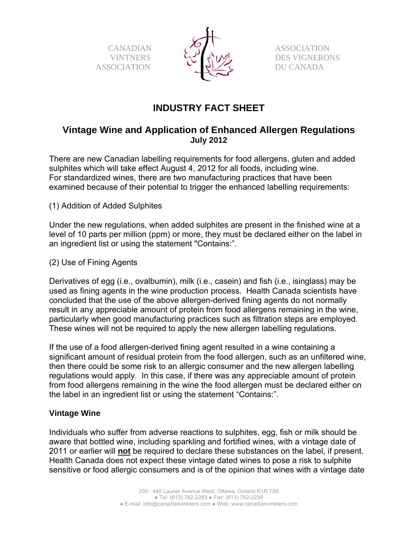CANADIAN **VINTNERS** ASSOCIATION



 ASSOCIATION DES VIGNERONS DU CANADA

# **INDUSTRY FACT SHEET**

## **Vintage Wine and Application of Enhanced Allergen Regulations July 2012**

There are new Canadian labelling requirements for food allergens, gluten and added sulphites which will take effect August 4, 2012 for all foods, including wine. For standardized wines, there are two manufacturing practices that have been examined because of their potential to trigger the enhanced labelling requirements:

(1) Addition of Added Sulphites

Under the new regulations, when added sulphites are present in the finished wine at a level of 10 parts per million (ppm) or more, they must be declared either on the label in an ingredient list or using the statement "Contains:".

(2) Use of Fining Agents

Derivatives of egg (i.e., ovalbumin), milk (i.e., casein) and fish (i.e., isinglass) may be used as fining agents in the wine production process. Health Canada scientists have concluded that the use of the above allergen-derived fining agents do not normally result in any appreciable amount of protein from food allergens remaining in the wine, particularly when good manufacturing practices such as filtration steps are employed. These wines will not be required to apply the new allergen labelling regulations.

If the use of a food allergen-derived fining agent resulted in a wine containing a significant amount of residual protein from the food allergen, such as an unfiltered wine, then there could be some risk to an allergic consumer and the new allergen labelling regulations would apply. In this case, if there was any appreciable amount of protein from food allergens remaining in the wine the food allergen must be declared either on the label in an ingredient list or using the statement "Contains:".

## **Vintage Wine**

Individuals who suffer from adverse reactions to sulphites, egg, fish or milk should be aware that bottled wine, including sparkling and fortified wines, with a vintage date of 2011 or earlier will **not** be required to declare these substances on the label, if present. Health Canada does not expect these vintage dated wines to pose a risk to sulphite sensitive or food allergic consumers and is of the opinion that wines with a vintage date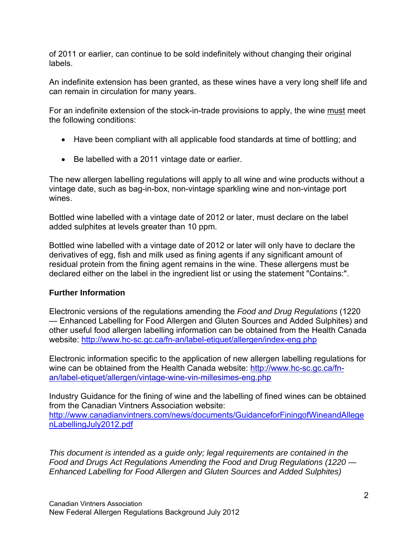of 2011 or earlier, can continue to be sold indefinitely without changing their original labels.

An indefinite extension has been granted, as these wines have a very long shelf life and can remain in circulation for many years.

For an indefinite extension of the stock-in-trade provisions to apply, the wine must meet the following conditions:

- Have been compliant with all applicable food standards at time of bottling; and
- Be labelled with a 2011 vintage date or earlier.

The new allergen labelling regulations will apply to all wine and wine products without a vintage date, such as bag-in-box, non-vintage sparkling wine and non-vintage port wines.

Bottled wine labelled with a vintage date of 2012 or later, must declare on the label added sulphites at levels greater than 10 ppm.

Bottled wine labelled with a vintage date of 2012 or later will only have to declare the derivatives of egg, fish and milk used as fining agents if any significant amount of residual protein from the fining agent remains in the wine. These allergens must be declared either on the label in the ingredient list or using the statement "Contains:".

## **Further Information**

Electronic versions of the regulations amending the *Food and Drug Regulations* (1220 — Enhanced Labelling for Food Allergen and Gluten Sources and Added Sulphites) and other useful food allergen labelling information can be obtained from the Health Canada website: http://www.hc-sc.gc.ca/fn-an/label-etiquet/allergen/index-eng.php

Electronic information specific to the application of new allergen labelling regulations for wine can be obtained from the Health Canada website: http://www.hc-sc.gc.ca/fnan/label-etiquet/allergen/vintage-wine-vin-millesimes-eng.php

Industry Guidance for the fining of wine and the labelling of fined wines can be obtained from the Canadian Vintners Association website: http://www.canadianvintners.com/news/documents/GuidanceforFiningofWineandAllege nLabellingJuly2012.pdf

*This document is intended as a guide only; legal requirements are contained in the Food and Drugs Act Regulations Amending the Food and Drug Regulations (1220 — Enhanced Labelling for Food Allergen and Gluten Sources and Added Sulphites)*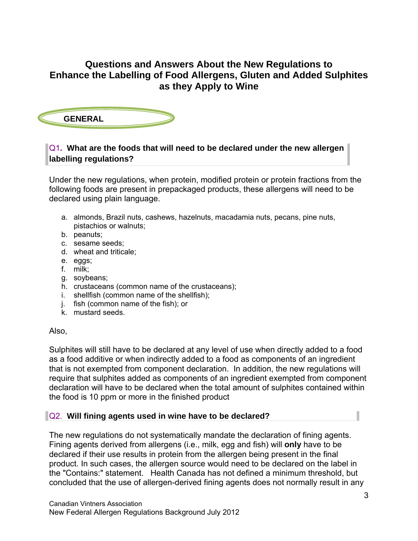## **Questions and Answers About the New Regulations to Enhance the Labelling of Food Allergens, Gluten and Added Sulphites as they Apply to Wine**



## Q1**. What are the foods that will need to be declared under the new allergen labelling regulations?**

Under the new regulations, when protein, modified protein or protein fractions from the following foods are present in prepackaged products, these allergens will need to be declared using plain language.

- a. almonds, Brazil nuts, cashews, hazelnuts, macadamia nuts, pecans, pine nuts, pistachios or walnuts;
- b. peanuts;
- c. sesame seeds;
- d. wheat and triticale;
- e. eggs;
- f. milk;
- g. soybeans;
- h. crustaceans (common name of the crustaceans);
- i. shellfish (common name of the shellfish);
- j. fish (common name of the fish); or
- k. mustard seeds.

#### Also,

Sulphites will still have to be declared at any level of use when directly added to a food as a food additive or when indirectly added to a food as components of an ingredient that is not exempted from component declaration. In addition, the new regulations will require that sulphites added as components of an ingredient exempted from component declaration will have to be declared when the total amount of sulphites contained within the food is 10 ppm or more in the finished product

#### Q2. **Will fining agents used in wine have to be declared?**

The new regulations do not systematically mandate the declaration of fining agents. Fining agents derived from allergens (i.e., milk, egg and fish) will **only** have to be declared if their use results in protein from the allergen being present in the final product. In such cases, the allergen source would need to be declared on the label in the "Contains:" statement. Health Canada has not defined a minimum threshold, but concluded that the use of allergen-derived fining agents does not normally result in any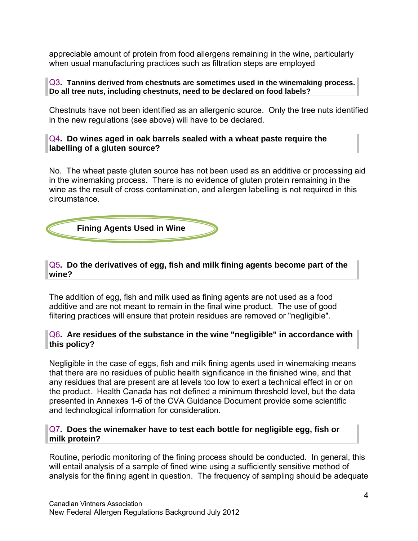appreciable amount of protein from food allergens remaining in the wine, particularly when usual manufacturing practices such as filtration steps are employed

#### Q3**. Tannins derived from chestnuts are sometimes used in the winemaking process. Do all tree nuts, including chestnuts, need to be declared on food labels?**

Chestnuts have not been identified as an allergenic source. Only the tree nuts identified in the new regulations (see above) will have to be declared.

#### Q4**. Do wines aged in oak barrels sealed with a wheat paste require the labelling of a gluten source?**

No. The wheat paste gluten source has not been used as an additive or processing aid in the winemaking process. There is no evidence of gluten protein remaining in the wine as the result of cross contamination, and allergen labelling is not required in this circumstance.



### Q5**. Do the derivatives of egg, fish and milk fining agents become part of the wine?**

The addition of egg, fish and milk used as fining agents are not used as a food additive and are not meant to remain in the final wine product. The use of good filtering practices will ensure that protein residues are removed or "negligible".

### Q6**. Are residues of the substance in the wine "negligible" in accordance with this policy?**

Negligible in the case of eggs, fish and milk fining agents used in winemaking means that there are no residues of public health significance in the finished wine, and that any residues that are present are at levels too low to exert a technical effect in or on the product. Health Canada has not defined a minimum threshold level, but the data presented in Annexes 1-6 of the CVA Guidance Document provide some scientific and technological information for consideration.

#### Q7**. Does the winemaker have to test each bottle for negligible egg, fish or milk protein?**

Routine, periodic monitoring of the fining process should be conducted. In general, this will entail analysis of a sample of fined wine using a sufficiently sensitive method of analysis for the fining agent in question. The frequency of sampling should be adequate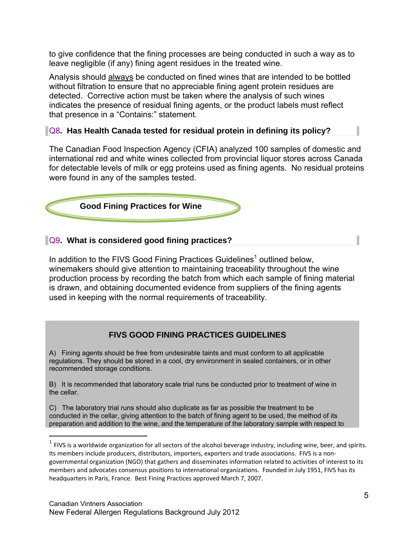to give confidence that the fining processes are being conducted in such a way as to leave negligible (if any) fining agent residues in the treated wine.

Analysis should always be conducted on fined wines that are intended to be bottled without filtration to ensure that no appreciable fining agent protein residues are detected. Corrective action must be taken where the analysis of such wines indicates the presence of residual fining agents, or the product labels must reflect that presence in a "Contains:" statement.

## Q8**. Has Health Canada tested for residual protein in defining its policy?**

The Canadian Food Inspection Agency (CFIA) analyzed 100 samples of domestic and international red and white wines collected from provincial liquor stores across Canada for detectable levels of milk or egg proteins used as fining agents. No residual proteins were found in any of the samples tested.



### Q9**. What is considered good fining practices?**

In addition to the FIVS Good Fining Practices Guidelines<sup>1</sup> outlined below, winemakers should give attention to maintaining traceability throughout the wine production process by recording the batch from which each sample of fining material is drawn, and obtaining documented evidence from suppliers of the fining agents used in keeping with the normal requirements of traceability.

## **FIVS GOOD FINING PRACTICES GUIDELINES**

A) Fining agents should be free from undesirable taints and must conform to all applicable regulations. They should be stored in a cool, dry environment in sealed containers, or in other recommended storage conditions.

B) It is recommended that laboratory scale trial runs be conducted prior to treatment of wine in the cellar.

C) The laboratory trial runs should also duplicate as far as possible the treatment to be conducted in the cellar, giving attention to the batch of fining agent to be used, the method of its preparation and addition to the wine, and the temperature of the laboratory sample with respect to

 $\overline{a}$ 

 $1$  FIVS is a worldwide organization for all sectors of the alcohol beverage industry, including wine, beer, and spirits. Its members include producers, distributors, importers, exporters and trade associations. FIVS is a nongovernmental organization (NGO) that gathers and disseminates information related to activities of interest to its members and advocates consensus positions to international organizations. Founded in July 1951, FIVS has its headquarters in Paris, France. Best Fining Practices approved March 7, 2007.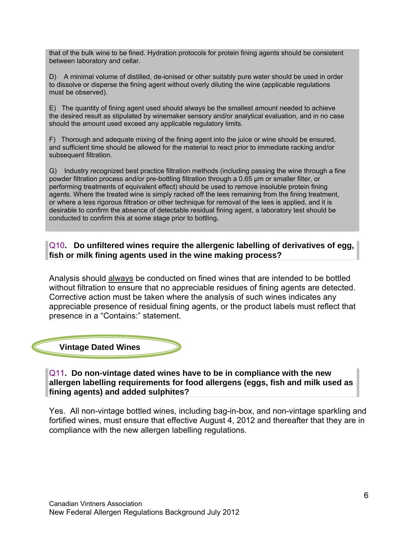that of the bulk wine to be fined. Hydration protocols for protein fining agents should be consistent between laboratory and cellar.

D) A minimal volume of distilled, de-ionised or other suitably pure water should be used in order to dissolve or disperse the fining agent without overly diluting the wine (applicable regulations must be observed).

E) The quantity of fining agent used should always be the smallest amount needed to achieve the desired result as stipulated by winemaker sensory and/or analytical evaluation, and in no case should the amount used exceed any applicable regulatory limits.

F) Thorough and adequate mixing of the fining agent into the juice or wine should be ensured, and sufficient time should be allowed for the material to react prior to immediate racking and/or subsequent filtration.

G) Industry recognized best practice filtration methods (including passing the wine through a fine powder filtration process and/or pre-bottling filtration through a 0.65 μm or smaller filter, or performing treatments of equivalent effect) should be used to remove insoluble protein fining agents. Where the treated wine is simply racked off the lees remaining from the fining treatment, or where a less rigorous filtration or other technique for removal of the lees is applied, and it is desirable to confirm the absence of detectable residual fining agent, a laboratory test should be conducted to confirm this at some stage prior to bottling**.** 

#### Q10**. Do unfiltered wines require the allergenic labelling of derivatives of egg, fish or milk fining agents used in the wine making process?**

Analysis should always be conducted on fined wines that are intended to be bottled without filtration to ensure that no appreciable residues of fining agents are detected. Corrective action must be taken where the analysis of such wines indicates any appreciable presence of residual fining agents, or the product labels must reflect that presence in a "Contains:" statement.



Q11**. Do non-vintage dated wines have to be in compliance with the new allergen labelling requirements for food allergens (eggs, fish and milk used as fining agents) and added sulphites?** 

Yes. All non-vintage bottled wines, including bag-in-box, and non-vintage sparkling and fortified wines, must ensure that effective August 4, 2012 and thereafter that they are in compliance with the new allergen labelling regulations.